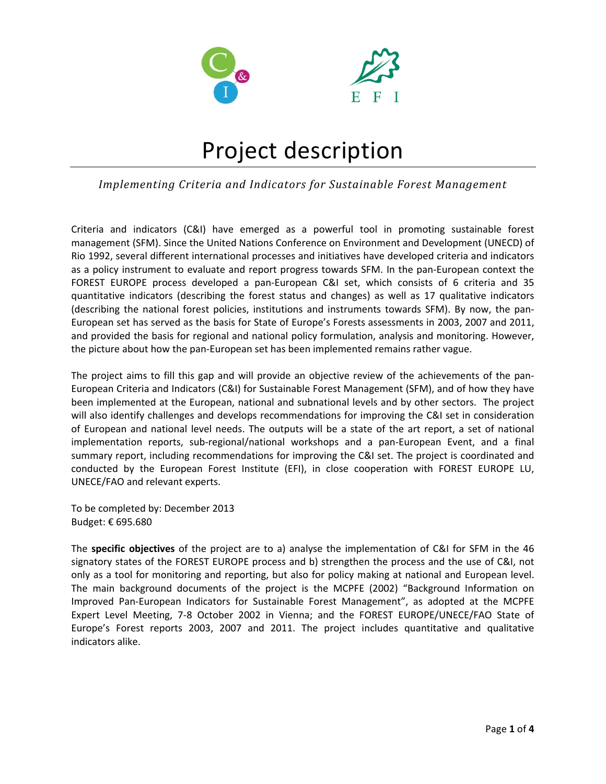



# Project description

### *Implementing Criteria and Indicators for Sustainable Forest Management*

Criteria and indicators (C&I) have emerged as a powerful tool in promoting sustainable forest management (SFM). Since the United Nations Conference on Environment and Development (UNECD) of Rio 1992, several different international processes and initiatives have developed criteria and indicators as a policy instrument to evaluate and report progress towards SFM. In the pan‐European context the FOREST EUROPE process developed a pan‐European C&I set, which consists of 6 criteria and 35 quantitative indicators (describing the forest status and changes) as well as 17 qualitative indicators (describing the national forest policies, institutions and instruments towards SFM). By now, the pan‐ European set has served as the basis for State of Europe's Forests assessments in 2003, 2007 and 2011, and provided the basis for regional and national policy formulation, analysis and monitoring. However, the picture about how the pan‐European set has been implemented remains rather vague.

The project aims to fill this gap and will provide an objective review of the achievements of the pan‐ European Criteria and Indicators (C&I) for Sustainable Forest Management (SFM), and of how they have been implemented at the European, national and subnational levels and by other sectors. The project will also identify challenges and develops recommendations for improving the C&I set in consideration of European and national level needs. The outputs will be a state of the art report, a set of national implementation reports, sub-regional/national workshops and a pan-European Event, and a final summary report, including recommendations for improving the C&I set. The project is coordinated and conducted by the European Forest Institute (EFI), in close cooperation with FOREST EUROPE LU, UNECE/FAO and relevant experts.

To be completed by: December 2013 Budget: € 695.680

The **specific objectives** of the project are to a) analyse the implementation of C&I for SFM in the 46 signatory states of the FOREST EUROPE process and b) strengthen the process and the use of C&I, not only as a tool for monitoring and reporting, but also for policy making at national and European level. The main background documents of the project is the MCPFE (2002) "Background Information on Improved Pan‐European Indicators for Sustainable Forest Management", as adopted at the MCPFE Expert Level Meeting, 7-8 October 2002 in Vienna; and the FOREST EUROPE/UNECE/FAO State of Europe's Forest reports 2003, 2007 and 2011. The project includes quantitative and qualitative indicators alike.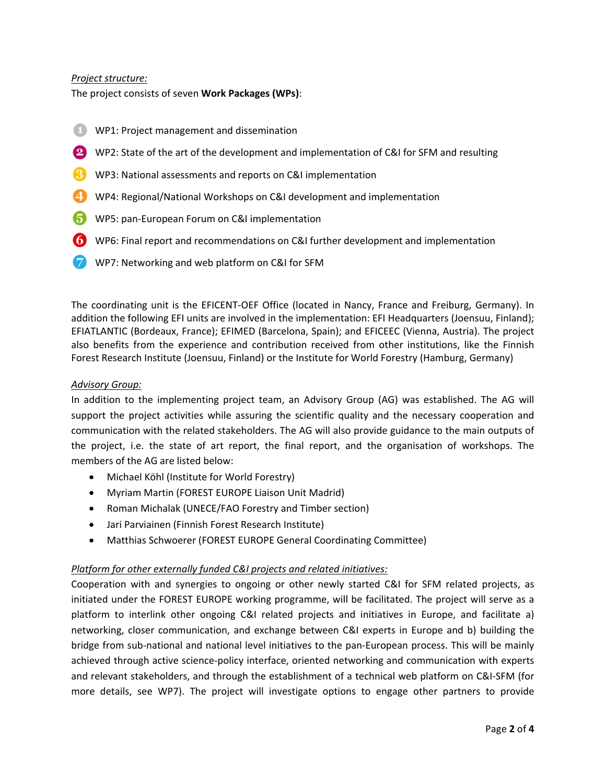#### *Project structure:*

The project consists of seven **Work Packages (WPs)**:

- WP1: Project management and dissemination
- WP2: State of the art of the development and implementation of C&I for SFM and resulting
- WP3: National assessments and reports on C&I implementation
- WP4: Regional/National Workshops on C&I development and implementation
- WP5: pan‐European Forum on C&I implementation
- WP6: Final report and recommendations on C&I further development and implementation
- WP7: Networking and web platform on C&I for SFM

The coordinating unit is the EFICENT‐OEF Office (located in Nancy, France and Freiburg, Germany). In addition the following EFI units are involved in the implementation: EFI Headquarters (Joensuu, Finland); EFIATLANTIC (Bordeaux, France); EFIMED (Barcelona, Spain); and EFICEEC (Vienna, Austria). The project also benefits from the experience and contribution received from other institutions, like the Finnish Forest Research Institute (Joensuu, Finland) or the Institute for World Forestry (Hamburg, Germany)

#### *Advisory Group:*

In addition to the implementing project team, an Advisory Group (AG) was established. The AG will support the project activities while assuring the scientific quality and the necessary cooperation and communication with the related stakeholders. The AG will also provide guidance to the main outputs of the project, i.e. the state of art report, the final report, and the organisation of workshops. The members of the AG are listed below:

- Michael Köhl (Institute for World Forestry)
- Myriam Martin (FOREST EUROPE Liaison Unit Madrid)
- Roman Michalak (UNECE/FAO Forestry and Timber section)
- Jari Parviainen (Finnish Forest Research Institute)
- Matthias Schwoerer (FOREST EUROPE General Coordinating Committee)

#### *Platform for other externally funded C&I projects and related initiatives:*

Cooperation with and synergies to ongoing or other newly started C&I for SFM related projects, as initiated under the FOREST EUROPE working programme, will be facilitated. The project will serve as a platform to interlink other ongoing C&I related projects and initiatives in Europe, and facilitate a) networking, closer communication, and exchange between C&I experts in Europe and b) building the bridge from sub‐national and national level initiatives to the pan‐European process. This will be mainly achieved through active science‐policy interface, oriented networking and communication with experts and relevant stakeholders, and through the establishment of a technical web platform on C&I‐SFM (for more details, see WP7). The project will investigate options to engage other partners to provide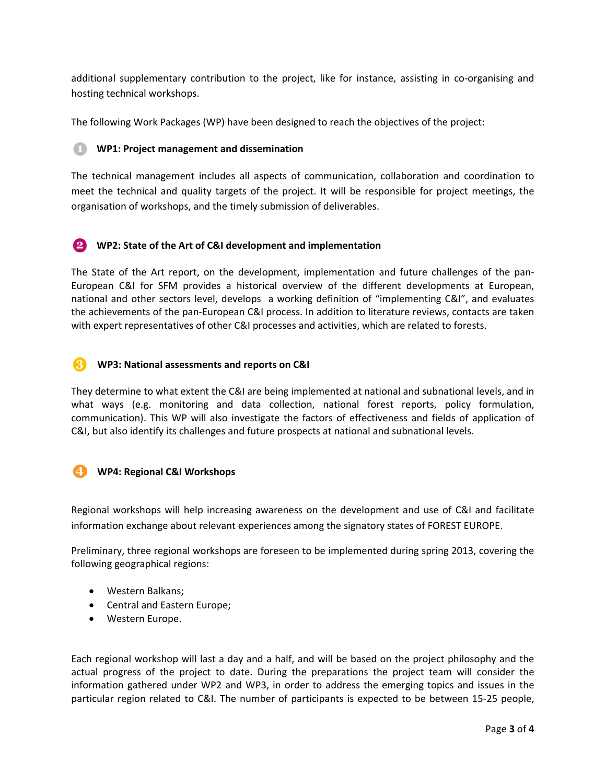additional supplementary contribution to the project, like for instance, assisting in co-organising and hosting technical workshops.

The following Work Packages (WP) have been designed to reach the objectives of the project:

#### G **WP1: Project management and dissemination**

The technical management includes all aspects of communication, collaboration and coordination to meet the technical and quality targets of the project. It will be responsible for project meetings, the organisation of workshops, and the timely submission of deliverables.

 **WP2: State of the Art of C&I development and implementation**

The State of the Art report, on the development, implementation and future challenges of the pan‐ European C&I for SFM provides a historical overview of the different developments at European, national and other sectors level, develops a working definition of "implementing C&I", and evaluates the achievements of the pan‐European C&I process. In addition to literature reviews, contacts are taken with expert representatives of other C&I processes and activities, which are related to forests.

## **WP3: National assessments and reports on C&I**

They determine to what extent the C&I are being implemented at national and subnational levels, and in what ways (e.g. monitoring and data collection, national forest reports, policy formulation, communication). This WP will also investigate the factors of effectiveness and fields of application of C&I, but also identify its challenges and future prospects at national and subnational levels.

## **WP4: Regional C&I Workshops**

Regional workshops will help increasing awareness on the development and use of C&I and facilitate information exchange about relevant experiences among the signatory states of FOREST EUROPE.

Preliminary, three regional workshops are foreseen to be implemented during spring 2013, covering the following geographical regions:

- Western Balkans;
- Central and Eastern Europe;
- Western Europe.

Each regional workshop will last a day and a half, and will be based on the project philosophy and the actual progress of the project to date. During the preparations the project team will consider the information gathered under WP2 and WP3, in order to address the emerging topics and issues in the particular region related to C&I. The number of participants is expected to be between 15‐25 people,